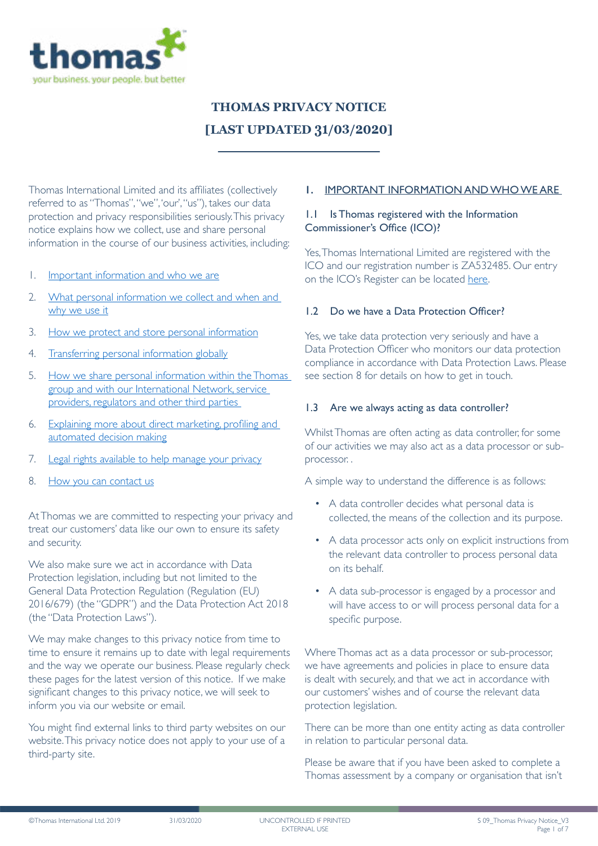

# **THOMAS PRIVACY NOTICE [LAST UPDATED 31/03/2020]**

Thomas International Limited and its affiliates (collectively referred to as "Thomas", "we", 'our', "us"), takes our data protection and privacy responsibilities seriously. This privacy notice explains how we collect, use and share personal information in the course of our business activities, including:

- 1. [Important information and who we are](#page-0-0)
- 2. [What personal information we collect and when and](#page-1-0)  [why we use it](#page-1-0)
- 3. [How we protect and store personal information](#page-2-0)
- 4. [Transferring personal information globally](#page-3-0)
- 5. [How we share personal information within the Thomas](#page-4-0)  [group and with our International Network, service](#page-4-0)  [providers, regulators and other third parties](#page-4-0)
- 6. [Explaining more about direct marketing, profiling and](#page-4-1)  [automated decision making](#page-4-1)
- 7. [Legal rights available to help manage your privacy](#page-5-0)
- 8. [How you can contact us](#page-6-0)

At Thomas we are committed to respecting your privacy and treat our customers' data like our own to ensure its safety and security.

We also make sure we act in accordance with Data Protection legislation, including but not limited to the General Data Protection Regulation (Regulation (EU) 2016/679) (the "GDPR") and the Data Protection Act 2018 (the "Data Protection Laws").

We may make changes to this privacy notice from time to time to ensure it remains up to date with legal requirements and the way we operate our business. Please regularly check these pages for the latest version of this notice. If we make significant changes to this privacy notice, we will seek to inform you via our website or email.

You might find external links to third party websites on our website. This privacy notice does not apply to your use of a third-party site.

#### <span id="page-0-0"></span>**1.** IMPORTANT INFORMATION AND WHO WE ARE

#### 1.1 Is Thomas registered with the Information Commissioner's Office (ICO)?

Yes, Thomas International Limited are registered with the ICO and our registration number is ZA532485. Our entry on the ICO's Register can be located [here](https://ico.org.uk/ESDWebPages/Entry/ZA532485).

#### 1.2 Do we have a Data Protection Officer?

Yes, we take data protection very seriously and have a Data Protection Officer who monitors our data protection compliance in accordance with Data Protection Laws. Please see section 8 for details on how to get in touch.

#### 1.3 Are we always acting as data controller?

Whilst Thomas are often acting as data controller, for some of our activities we may also act as a data processor or subprocessor. .

A simple way to understand the difference is as follows:

- A data controller decides what personal data is collected, the means of the collection and its purpose.
- A data processor acts only on explicit instructions from the relevant data controller to process personal data on its behalf.
- A data sub-processor is engaged by a processor and will have access to or will process personal data for a specific purpose.

Where Thomas act as a data processor or sub-processor, we have agreements and policies in place to ensure data is dealt with securely, and that we act in accordance with our customers' wishes and of course the relevant data protection legislation.

There can be more than one entity acting as data controller in relation to particular personal data.

Please be aware that if you have been asked to complete a Thomas assessment by a company or organisation that isn't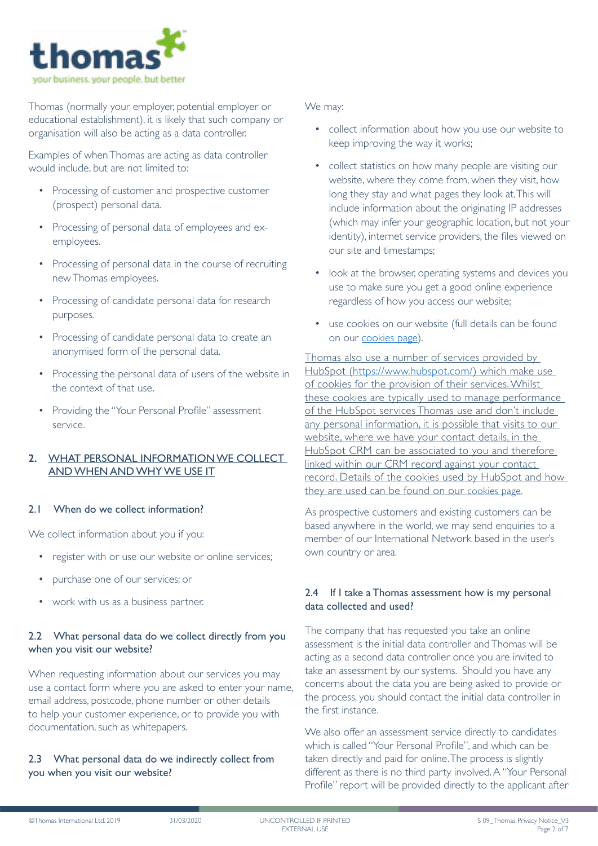

Thomas (normally your employer, potential employer or educational establishment), it is likely that such company or organisation will also be acting as a data controller.

Examples of when Thomas are acting as data controller would include, but are not limited to:

- Processing of customer and prospective customer (prospect) personal data.
- Processing of personal data of employees and exemployees.
- Processing of personal data in the course of recruiting new Thomas employees.
- Processing of candidate personal data for research purposes.
- Processing of candidate personal data to create an anonymised form of the personal data.
- Processing the personal data of users of the website in the context of that use.
- Providing the "Your Personal Profile" assessment service.

# <span id="page-1-0"></span>**2.** WHAT PERSONAL INFORMATION WE COLLECT AND WHEN AND WHY WE USE IT

## 2.1 When do we collect information?

We collect information about you if you:

- register with or use our website or online services;
- purchase one of our services; or
- work with us as a business partner.

# 2.2 What personal data do we collect directly from you when you visit our website?

When requesting information about our services you may use a contact form where you are asked to enter your name, email address, postcode, phone number or other details to help your customer experience, or to provide you with documentation, such as whitepapers.

# 2.3 What personal data do we indirectly collect from you when you visit our website?

## We may:

- collect information about how you use our website to keep improving the way it works;
- collect statistics on how many people are visiting our website, where they come from, when they visit, how long they stay and what pages they look at. This will include information about the originating IP addresses (which may infer your geographic location, but not your identity), internet service providers, the files viewed on our site and timestamps;
- look at the browser, operating systems and devices you use to make sure you get a good online experience regardless of how you access our website;
- use cookies on our website (full details can be found on our [cookies page\)](https://www.Thomas.co/cookie-notice).

Thomas also use a number of services provided by HubSpot [\(https://www.hubspot.com/\)](https://www.hubspot.com/) which make use of cookies for the provision of their services. Whilst these cookies are typically used to manage performance of the HubSpot services Thomas use and don't include any personal information, it is possible that visits to our website, where we have your contact details, in the HubSpot CRM can be associated to you and therefore linked within our CRM record against your contact record. Details of the cookies used by HubSpot and how they are used can be found on our [cookies page.](https://www.thomasinternational.net/en-gb/cookies-notice/)

As prospective customers and existing customers can be based anywhere in the world, we may send enquiries to a member of our International Network based in the user's own country or area.

# 2.4 If I take a Thomas assessment how is my personal data collected and used?

The company that has requested you take an online assessment is the initial data controller and Thomas will be acting as a second data controller once you are invited to take an assessment by our systems. Should you have any concerns about the data you are being asked to provide or the process, you should contact the initial data controller in the first instance.

We also offer an assessment service directly to candidates which is called "Your Personal Profile", and which can be taken directly and paid for online. The process is slightly different as there is no third party involved. A "Your Personal Profile" report will be provided directly to the applicant after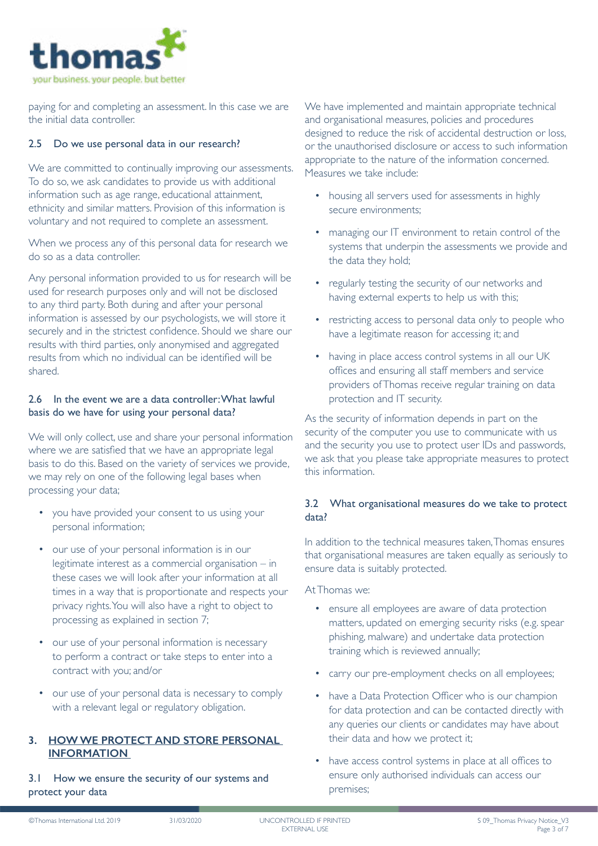

paying for and completing an assessment. In this case we are the initial data controller.

## 2.5 Do we use personal data in our research?

We are committed to continually improving our assessments. To do so, we ask candidates to provide us with additional information such as age range, educational attainment, ethnicity and similar matters. Provision of this information is voluntary and not required to complete an assessment.

When we process any of this personal data for research we do so as a data controller.

Any personal information provided to us for research will be used for research purposes only and will not be disclosed to any third party. Both during and after your personal information is assessed by our psychologists, we will store it securely and in the strictest confidence. Should we share our results with third parties, only anonymised and aggregated results from which no individual can be identified will be shared.

#### 2.6 In the event we are a data controller: What lawful basis do we have for using your personal data?

We will only collect, use and share your personal information where we are satisfied that we have an appropriate legal basis to do this. Based on the variety of services we provide, we may rely on one of the following legal bases when processing your data;

- you have provided your consent to us using your personal information;
- our use of your personal information is in our legitimate interest as a commercial organisation – in these cases we will look after your information at all times in a way that is proportionate and respects your privacy rights. You will also have a right to object to processing as explained in section 7;
- our use of your personal information is necessary to perform a contract or take steps to enter into a contract with you; and/or
- our use of your personal data is necessary to comply with a relevant legal or regulatory obligation.

#### <span id="page-2-0"></span>**3. HOW WE PROTECT AND STORE PERSONAL INFORMATION**

3.1 How we ensure the security of our systems and protect your data

We have implemented and maintain appropriate technical and organisational measures, policies and procedures designed to reduce the risk of accidental destruction or loss, or the unauthorised disclosure or access to such information appropriate to the nature of the information concerned. Measures we take include:

- housing all servers used for assessments in highly secure environments;
- managing our IT environment to retain control of the systems that underpin the assessments we provide and the data they hold;
- regularly testing the security of our networks and having external experts to help us with this;
- restricting access to personal data only to people who have a legitimate reason for accessing it; and
- having in place access control systems in all our UK offices and ensuring all staff members and service providers of Thomas receive regular training on data protection and IT security.

As the security of information depends in part on the security of the computer you use to communicate with us and the security you use to protect user IDs and passwords, we ask that you please take appropriate measures to protect this information.

## 3.2 What organisational measures do we take to protect data?

In addition to the technical measures taken, Thomas ensures that organisational measures are taken equally as seriously to ensure data is suitably protected.

At Thomas we:

- ensure all employees are aware of data protection matters, updated on emerging security risks (e.g. spear phishing, malware) and undertake data protection training which is reviewed annually;
- carry our pre-employment checks on all employees;
- have a Data Protection Officer who is our champion for data protection and can be contacted directly with any queries our clients or candidates may have about their data and how we protect it;
- have access control systems in place at all offices to ensure only authorised individuals can access our premises;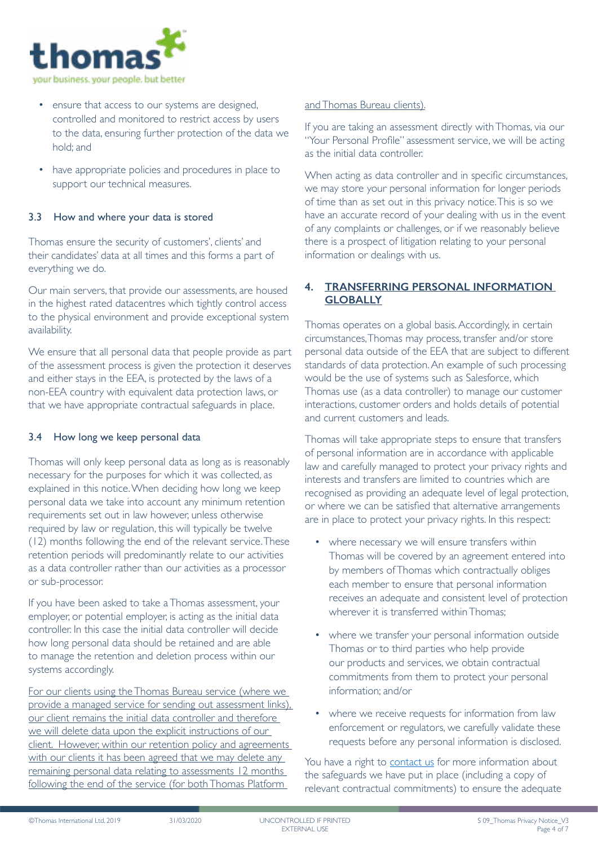

- ensure that access to our systems are designed, controlled and monitored to restrict access by users to the data, ensuring further protection of the data we hold; and
- have appropriate policies and procedures in place to support our technical measures.

## 3.3 How and where your data is stored

Thomas ensure the security of customers', clients' and their candidates' data at all times and this forms a part of everything we do.

Our main servers, that provide our assessments, are housed in the highest rated datacentres which tightly control access to the physical environment and provide exceptional system availability.

We ensure that all personal data that people provide as part of the assessment process is given the protection it deserves and either stays in the EEA, is protected by the laws of a non-EEA country with equivalent data protection laws, or that we have appropriate contractual safeguards in place.

#### 3.4 How long we keep personal data

Thomas will only keep personal data as long as is reasonably necessary for the purposes for which it was collected, as explained in this notice. When deciding how long we keep personal data we take into account any minimum retention requirements set out in law however, unless otherwise required by law or regulation, this will typically be twelve (12) months following the end of the relevant service. These retention periods will predominantly relate to our activities as a data controller rather than our activities as a processor or sub-processor.

If you have been asked to take a Thomas assessment, your employer, or potential employer, is acting as the initial data controller. In this case the initial data controller will decide how long personal data should be retained and are able to manage the retention and deletion process within our systems accordingly.

For our clients using the Thomas Bureau service (where we provide a managed service for sending out assessment links), our client remains the initial data controller and therefore we will delete data upon the explicit instructions of our client. However, within our retention policy and agreements with our clients it has been agreed that we may delete any remaining personal data relating to assessments 12 months following the end of the service (for both Thomas Platform

#### and Thomas Bureau clients).

If you are taking an assessment directly with Thomas, via our "Your Personal Profile" assessment service, we will be acting as the initial data controller.

When acting as data controller and in specific circumstances, we may store your personal information for longer periods of time than as set out in this privacy notice. This is so we have an accurate record of your dealing with us in the event of any complaints or challenges, or if we reasonably believe there is a prospect of litigation relating to your personal information or dealings with us.

## <span id="page-3-0"></span>**4. TRANSFERRING PERSONAL INFORMATION GLOBALLY**

Thomas operates on a global basis. Accordingly, in certain circumstances, Thomas may process, transfer and/or store personal data outside of the EEA that are subject to different standards of data protection. An example of such processing would be the use of systems such as Salesforce, which Thomas use (as a data controller) to manage our customer interactions, customer orders and holds details of potential and current customers and leads.

Thomas will take appropriate steps to ensure that transfers of personal information are in accordance with applicable law and carefully managed to protect your privacy rights and interests and transfers are limited to countries which are recognised as providing an adequate level of legal protection, or where we can be satisfied that alternative arrangements are in place to protect your privacy rights. In this respect:

- where necessary we will ensure transfers within Thomas will be covered by an agreement entered into by members of Thomas which contractually obliges each member to ensure that personal information receives an adequate and consistent level of protection wherever it is transferred within Thomas;
- where we transfer your personal information outside Thomas or to third parties who help provide our products and services, we obtain contractual commitments from them to protect your personal information; and/or
- where we receive requests for information from law enforcement or regulators, we carefully validate these requests before any personal information is disclosed.

You have a right to [contact us](mailto:gdpr@thomas.co.uk?subject=Privacy Notice Email) for more information about the safeguards we have put in place (including a copy of relevant contractual commitments) to ensure the adequate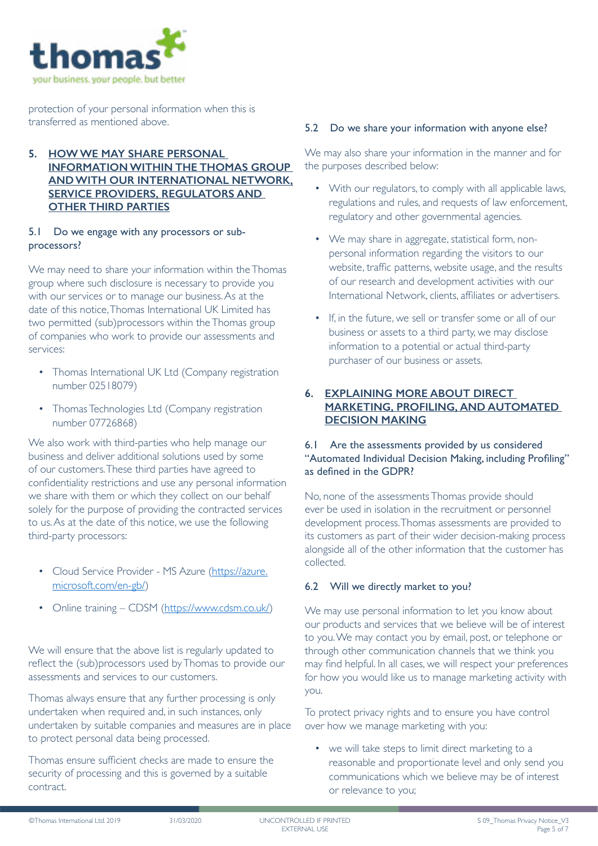

protection of your personal information when this is transferred as mentioned above.

## <span id="page-4-0"></span>**5. HOW WE MAY SHARE PERSONAL INFORMATION WITHIN THE THOMAS GROUP AND WITH OUR INTERNATIONAL NETWORK, SERVICE PROVIDERS, REGULATORS AND OTHER THIRD PARTIES**

## 5.1 Do we engage with any processors or subprocessors?

We may need to share your information within the Thomas group where such disclosure is necessary to provide you with our services or to manage our business. As at the date of this notice, Thomas International UK Limited has two permitted (sub)processors within the Thomas group of companies who work to provide our assessments and services:

- Thomas International UK Ltd (Company registration number 02518079)
- Thomas Technologies Ltd (Company registration number 07726868)

We also work with third-parties who help manage our business and deliver additional solutions used by some of our customers. These third parties have agreed to confidentiality restrictions and use any personal information we share with them or which they collect on our behalf solely for the purpose of providing the contracted services to us. As at the date of this notice, we use the following third-party processors:

- Cloud Service Provider MS Azure [\(https://azure.](https://azure.microsoft.com/en-gb/) [microsoft.com/en-gb/](https://azure.microsoft.com/en-gb/))
- Online training CDSM (<https://www.cdsm.co.uk/>)

We will ensure that the above list is regularly updated to reflect the (sub)processors used by Thomas to provide our assessments and services to our customers.

Thomas always ensure that any further processing is only undertaken when required and, in such instances, only undertaken by suitable companies and measures are in place to protect personal data being processed.

Thomas ensure sufficient checks are made to ensure the security of processing and this is governed by a suitable contract.

# 5.2 Do we share your information with anyone else?

We may also share your information in the manner and for the purposes described below:

- With our regulators, to comply with all applicable laws, regulations and rules, and requests of law enforcement, regulatory and other governmental agencies.
- We may share in aggregate, statistical form, nonpersonal information regarding the visitors to our website, traffic patterns, website usage, and the results of our research and development activities with our International Network, clients, affiliates or advertisers.
- If, in the future, we sell or transfer some or all of our business or assets to a third party, we may disclose information to a potential or actual third-party purchaser of our business or assets.

# <span id="page-4-1"></span>**6. EXPLAINING MORE ABOUT DIRECT MARKETING, PROFILING, AND AUTOMATED DECISION MAKING**

## 6.1 Are the assessments provided by us considered "Automated Individual Decision Making, including Profiling" as defined in the GDPR?

No, none of the assessments Thomas provide should ever be used in isolation in the recruitment or personnel development process. Thomas assessments are provided to its customers as part of their wider decision-making process alongside all of the other information that the customer has collected.

# 6.2 Will we directly market to you?

We may use personal information to let you know about our products and services that we believe will be of interest to you. We may contact you by email, post, or telephone or through other communication channels that we think you may find helpful. In all cases, we will respect your preferences for how you would like us to manage marketing activity with you.

To protect privacy rights and to ensure you have control over how we manage marketing with you:

• we will take steps to limit direct marketing to a reasonable and proportionate level and only send you communications which we believe may be of interest or relevance to you;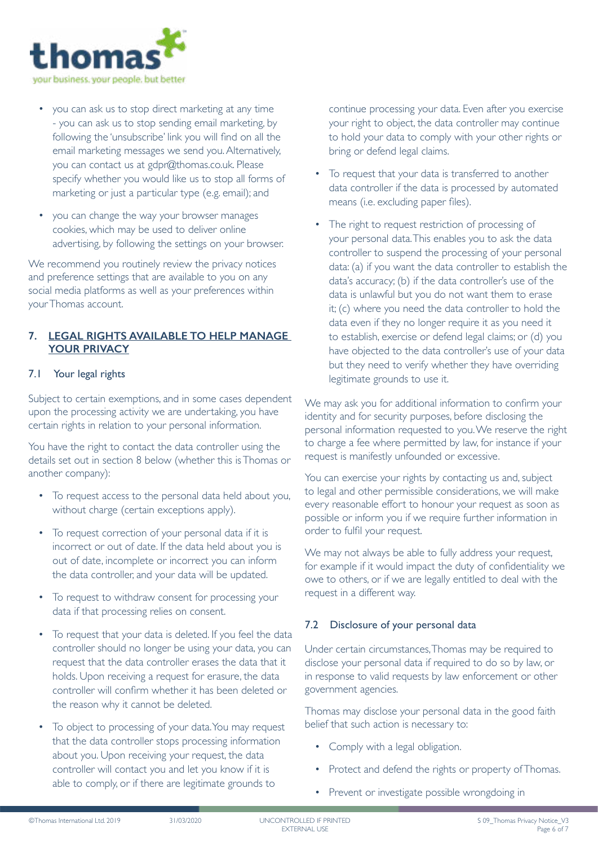

- you can ask us to stop direct marketing at any time - you can ask us to stop sending email marketing, by following the 'unsubscribe' link you will find on all the email marketing messages we send you. Alternatively, you can contact us at gdpr@thomas.co.uk. Please specify whether you would like us to stop all forms of marketing or just a particular type (e.g. email); and
- you can change the way your browser manages cookies, which may be used to deliver online advertising, by following the settings on your browser.

We recommend you routinely review the privacy notices and preference settings that are available to you on any social media platforms as well as your preferences within your Thomas account.

## <span id="page-5-0"></span>**7. LEGAL RIGHTS AVAILABLE TO HELP MANAGE YOUR PRIVACY**

## 7.1 Your legal rights

Subject to certain exemptions, and in some cases dependent upon the processing activity we are undertaking, you have certain rights in relation to your personal information.

You have the right to contact the data controller using the details set out in section 8 below (whether this is Thomas or another company):

- To request access to the personal data held about you, without charge (certain exceptions apply).
- To request correction of your personal data if it is incorrect or out of date. If the data held about you is out of date, incomplete or incorrect you can inform the data controller, and your data will be updated.
- To request to withdraw consent for processing your data if that processing relies on consent.
- To request that your data is deleted. If you feel the data controller should no longer be using your data, you can request that the data controller erases the data that it holds. Upon receiving a request for erasure, the data controller will confirm whether it has been deleted or the reason why it cannot be deleted.
- To object to processing of your data. You may request that the data controller stops processing information about you. Upon receiving your request, the data controller will contact you and let you know if it is able to comply, or if there are legitimate grounds to

continue processing your data. Even after you exercise your right to object, the data controller may continue to hold your data to comply with your other rights or bring or defend legal claims.

- To request that your data is transferred to another data controller if the data is processed by automated means (i.e. excluding paper files).
- The right to request restriction of processing of your personal data. This enables you to ask the data controller to suspend the processing of your personal data: (a) if you want the data controller to establish the data's accuracy; (b) if the data controller's use of the data is unlawful but you do not want them to erase it; (c) where you need the data controller to hold the data even if they no longer require it as you need it to establish, exercise or defend legal claims; or (d) you have objected to the data controller's use of your data but they need to verify whether they have overriding legitimate grounds to use it.

We may ask you for additional information to confirm your identity and for security purposes, before disclosing the personal information requested to you. We reserve the right to charge a fee where permitted by law, for instance if your request is manifestly unfounded or excessive.

You can exercise your rights by contacting us and, subject to legal and other permissible considerations, we will make every reasonable effort to honour your request as soon as possible or inform you if we require further information in order to fulfil your request.

We may not always be able to fully address your request, for example if it would impact the duty of confidentiality we owe to others, or if we are legally entitled to deal with the request in a different way.

# 7.2 Disclosure of your personal data

Under certain circumstances, Thomas may be required to disclose your personal data if required to do so by law, or in response to valid requests by law enforcement or other government agencies.

Thomas may disclose your personal data in the good faith belief that such action is necessary to:

- Comply with a legal obligation.
- Protect and defend the rights or property of Thomas.
- Prevent or investigate possible wrongdoing in